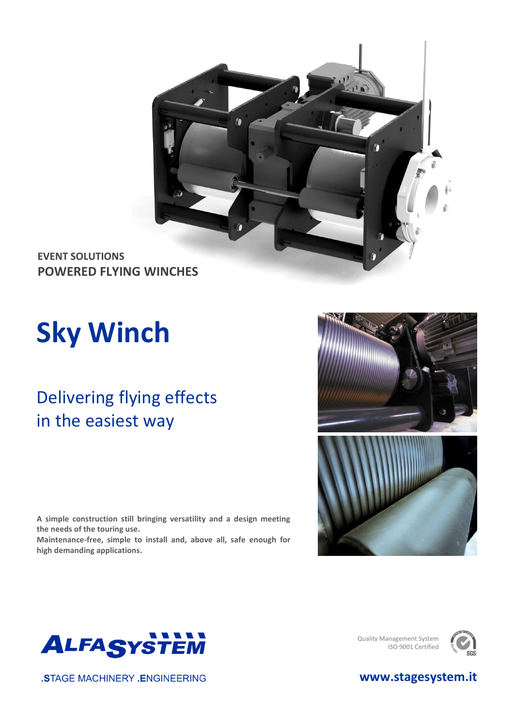

**EVENT SOLUTIONS POWERED FLYING WINCHES**

# **Sky Winch**

### Delivering flying effects in the easiest way

**A simple construction still bringing versatility and a design meeting the needs of the touring use. Maintenance-free, simple to install and, above all, safe enough for high demanding applications.**





Quality Management System ISO 9001 Certified





**.STAGE MACHINERY .ENGINEERING**